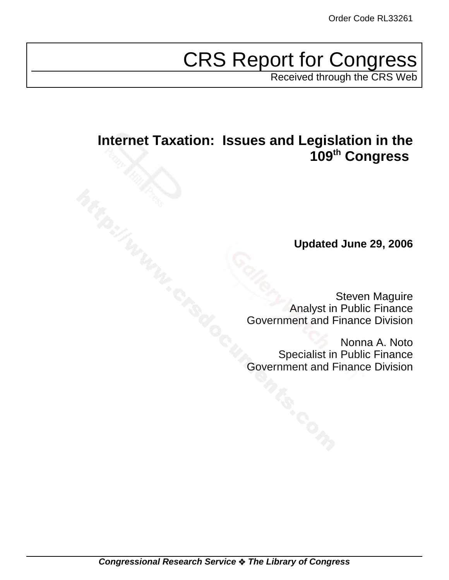# CRS Report for Congress

Received through the CRS Web

# **Internet Taxation: Issues and Legislation in the 109th Congress**

**Updated June 29, 2006**

Steven Maguire Analyst in Public Finance Government and Finance Division

Nonna A. Noto Specialist in Public Finance Government and Finance Division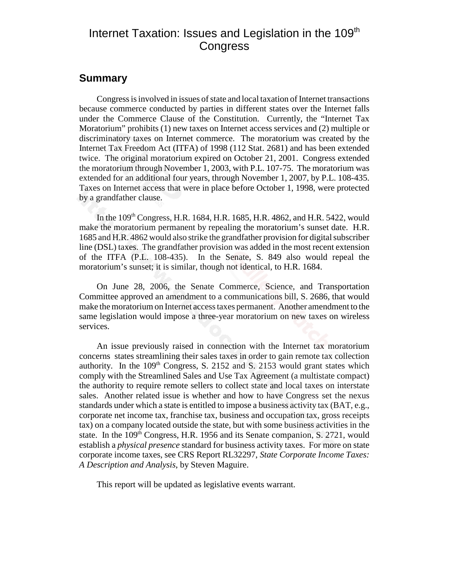## Internet Taxation: Issues and Legislation in the 109<sup>th</sup> **Congress**

#### **Summary**

Congress is involved in issues of state and local taxation of Internet transactions because commerce conducted by parties in different states over the Internet falls under the Commerce Clause of the Constitution. Currently, the "Internet Tax Moratorium" prohibits (1) new taxes on Internet access services and (2) multiple or discriminatory taxes on Internet commerce. The moratorium was created by the Internet Tax Freedom Act (ITFA) of 1998 (112 Stat. 2681) and has been extended twice. The original moratorium expired on October 21, 2001. Congress extended the moratorium through November 1, 2003, with P.L. 107-75. The moratorium was extended for an additional four years, through November 1, 2007, by P.L. 108-435. Taxes on Internet access that were in place before October 1, 1998, were protected by a grandfather clause.

In the 109<sup>th</sup> Congress, H.R. 1684, H.R. 1685, H.R. 4862, and H.R. 5422, would make the moratorium permanent by repealing the moratorium's sunset date. H.R. 1685 and H.R. 4862 would also strike the grandfather provision for digital subscriber line (DSL) taxes. The grandfather provision was added in the most recent extension of the ITFA (P.L. 108-435). In the Senate, S. 849 also would repeal the moratorium's sunset; it is similar, though not identical, to H.R. 1684.

On June 28, 2006, the Senate Commerce, Science, and Transportation Committee approved an amendment to a communications bill, S. 2686, that would make the moratorium on Internet access taxes permanent. Another amendment to the same legislation would impose a three-year moratorium on new taxes on wireless services.

An issue previously raised in connection with the Internet tax moratorium concerns states streamlining their sales taxes in order to gain remote tax collection authority. In the  $109<sup>th</sup>$  Congress, S. 2152 and S. 2153 would grant states which comply with the Streamlined Sales and Use Tax Agreement (a multistate compact) the authority to require remote sellers to collect state and local taxes on interstate sales. Another related issue is whether and how to have Congress set the nexus standards under which a state is entitled to impose a business activity tax (BAT, e.g., corporate net income tax, franchise tax, business and occupation tax, gross receipts tax) on a company located outside the state, but with some business activities in the state. In the  $109<sup>th</sup>$  Congress, H.R. 1956 and its Senate companion, S. 2721, would establish a *physical presence* standard for business activity taxes. For more on state corporate income taxes, see CRS Report RL32297, *State Corporate Income Taxes: A Description and Analysis*, by Steven Maguire.

This report will be updated as legislative events warrant.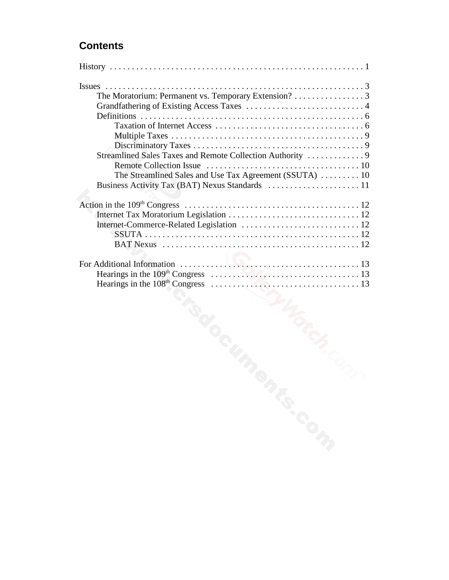## **Contents**

| The Moratorium: Permanent vs. Temporary Extension? 3   |  |
|--------------------------------------------------------|--|
|                                                        |  |
|                                                        |  |
|                                                        |  |
|                                                        |  |
|                                                        |  |
|                                                        |  |
|                                                        |  |
| The Streamlined Sales and Use Tax Agreement (SSUTA) 10 |  |
|                                                        |  |
|                                                        |  |
|                                                        |  |
|                                                        |  |
|                                                        |  |
|                                                        |  |
|                                                        |  |
|                                                        |  |
|                                                        |  |
|                                                        |  |
|                                                        |  |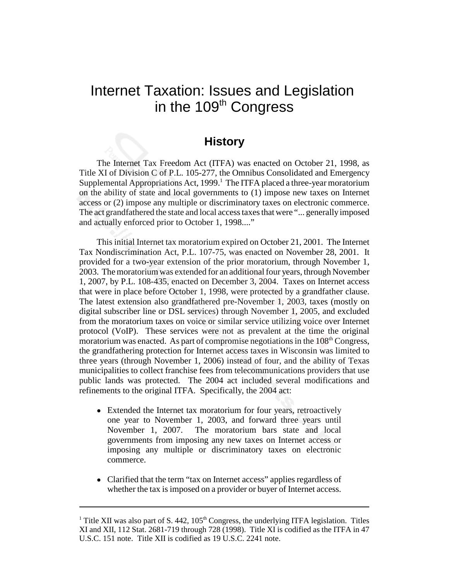## Internet Taxation: Issues and Legislation in the 109<sup>th</sup> Congress

#### **History**

The Internet Tax Freedom Act (ITFA) was enacted on October 21, 1998, as Title XI of Division C of P.L. 105-277, the Omnibus Consolidated and Emergency Supplemental Appropriations Act, 1999.<sup>1</sup> The ITFA placed a three-year moratorium on the ability of state and local governments to (1) impose new taxes on Internet access or (2) impose any multiple or discriminatory taxes on electronic commerce. The act grandfathered the state and local access taxes that were "... generally imposed and actually enforced prior to October 1, 1998...."

This initial Internet tax moratorium expired on October 21, 2001. The Internet Tax Nondiscrimination Act, P.L. 107-75, was enacted on November 28, 2001. It provided for a two-year extension of the prior moratorium, through November 1, 2003. The moratorium was extended for an additional four years, through November 1, 2007, by P.L. 108-435, enacted on December 3, 2004. Taxes on Internet access that were in place before October 1, 1998, were protected by a grandfather clause. The latest extension also grandfathered pre-November 1, 2003, taxes (mostly on digital subscriber line or DSL services) through November 1, 2005, and excluded from the moratorium taxes on voice or similar service utilizing voice over Internet protocol (VoIP). These services were not as prevalent at the time the original moratorium was enacted. As part of compromise negotiations in the  $108<sup>th</sup>$  Congress, the grandfathering protection for Internet access taxes in Wisconsin was limited to three years (through November 1, 2006) instead of four, and the ability of Texas municipalities to collect franchise fees from telecommunications providers that use public lands was protected. The 2004 act included several modifications and refinements to the original ITFA. Specifically, the 2004 act:

- Extended the Internet tax moratorium for four years, retroactively one year to November 1, 2003, and forward three years until November 1, 2007. The moratorium bars state and local governments from imposing any new taxes on Internet access or imposing any multiple or discriminatory taxes on electronic commerce.
- Clarified that the term "tax on Internet access" applies regardless of whether the tax is imposed on a provider or buyer of Internet access.

<sup>&</sup>lt;sup>1</sup> Title XII was also part of S. 442,  $105<sup>th</sup>$  Congress, the underlying ITFA legislation. Titles XI and XII, 112 Stat. 2681-719 through 728 (1998). Title XI is codified as the ITFA in 47 U.S.C. 151 note. Title XII is codified as 19 U.S.C. 2241 note.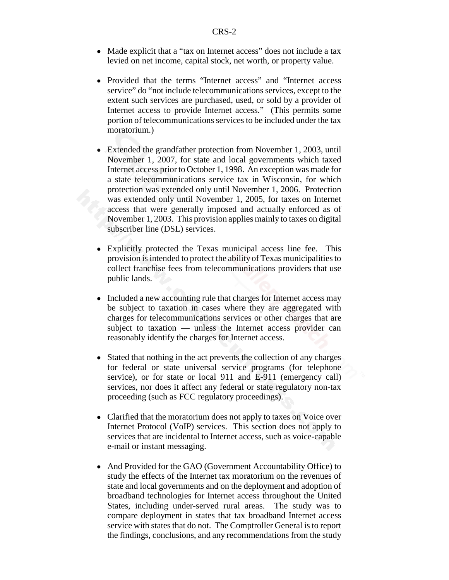- Made explicit that a "tax on Internet access" does not include a tax levied on net income, capital stock, net worth, or property value.
- ! Provided that the terms "Internet access" and "Internet access service" do "not include telecommunications services, except to the extent such services are purchased, used, or sold by a provider of Internet access to provide Internet access." (This permits some portion of telecommunications services to be included under the tax moratorium.)
- Extended the grandfather protection from November 1, 2003, until November 1, 2007, for state and local governments which taxed Internet access prior to October 1, 1998. An exception was made for a state telecommunications service tax in Wisconsin, for which protection was extended only until November 1, 2006. Protection was extended only until November 1, 2005, for taxes on Internet access that were generally imposed and actually enforced as of November 1, 2003. This provision applies mainly to taxes on digital subscriber line (DSL) services.
- Explicitly protected the Texas municipal access line fee. This provision is intended to protect the ability of Texas municipalities to collect franchise fees from telecommunications providers that use public lands.
- Included a new accounting rule that charges for Internet access may be subject to taxation in cases where they are aggregated with charges for telecommunications services or other charges that are subject to taxation — unless the Internet access provider can reasonably identify the charges for Internet access.
- Stated that nothing in the act prevents the collection of any charges for federal or state universal service programs (for telephone service), or for state or local 911 and E-911 (emergency call) services, nor does it affect any federal or state regulatory non-tax proceeding (such as FCC regulatory proceedings).
- Clarified that the moratorium does not apply to taxes on Voice over Internet Protocol (VoIP) services. This section does not apply to services that are incidental to Internet access, such as voice-capable e-mail or instant messaging.
- And Provided for the GAO (Government Accountability Office) to study the effects of the Internet tax moratorium on the revenues of state and local governments and on the deployment and adoption of broadband technologies for Internet access throughout the United States, including under-served rural areas. The study was to compare deployment in states that tax broadband Internet access service with states that do not. The Comptroller General is to report the findings, conclusions, and any recommendations from the study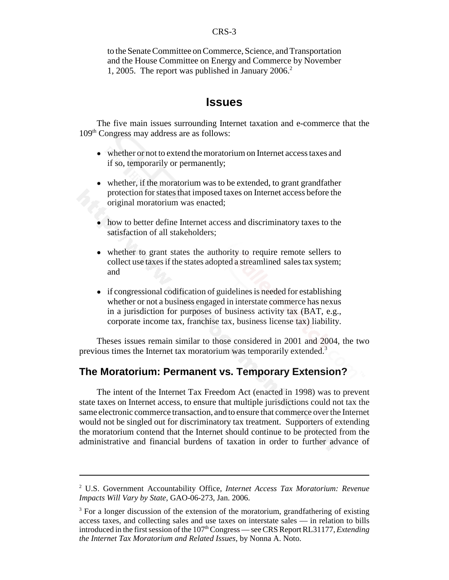to the Senate Committee on Commerce, Science, and Transportation and the House Committee on Energy and Commerce by November 1, 2005. The report was published in January 2006.<sup>2</sup>

#### **Issues**

The five main issues surrounding Internet taxation and e-commerce that the 109th Congress may address are as follows:

- whether or not to extend the moratorium on Internet access taxes and if so, temporarily or permanently;
- whether, if the moratorium was to be extended, to grant grandfather protection for states that imposed taxes on Internet access before the original moratorium was enacted;
- how to better define Internet access and discriminatory taxes to the satisfaction of all stakeholders;
- whether to grant states the authority to require remote sellers to collect use taxes if the states adopted a streamlined sales tax system; and
- if congressional codification of guidelines is needed for establishing whether or not a business engaged in interstate commerce has nexus in a jurisdiction for purposes of business activity tax (BAT, e.g., corporate income tax, franchise tax, business license tax) liability.

Theses issues remain similar to those considered in 2001 and 2004, the two previous times the Internet tax moratorium was temporarily extended.3

#### **The Moratorium: Permanent vs. Temporary Extension?**

The intent of the Internet Tax Freedom Act (enacted in 1998) was to prevent state taxes on Internet access, to ensure that multiple jurisdictions could not tax the same electronic commerce transaction, and to ensure that commerce over the Internet would not be singled out for discriminatory tax treatment. Supporters of extending the moratorium contend that the Internet should continue to be protected from the administrative and financial burdens of taxation in order to further advance of

<sup>2</sup> U.S. Government Accountability Office, *Internet Access Tax Moratorium: Revenue Impacts Will Vary by State*, GAO-06-273, Jan. 2006.

<sup>&</sup>lt;sup>3</sup> For a longer discussion of the extension of the moratorium, grandfathering of existing access taxes, and collecting sales and use taxes on interstate sales — in relation to bills introduced in the first session of the 107<sup>th</sup> Congress — see CRS Report RL31177, *Extending the Internet Tax Moratorium and Related Issues*, by Nonna A. Noto.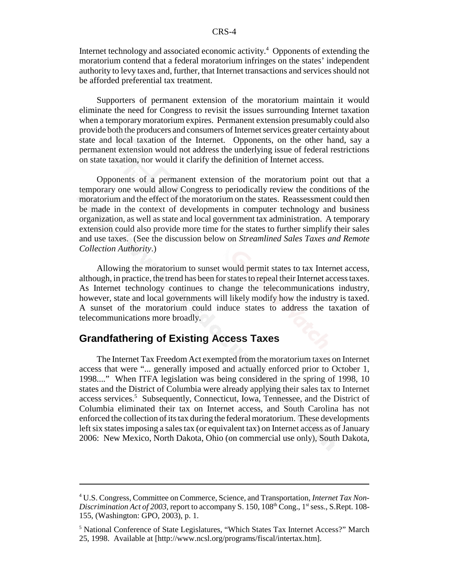Internet technology and associated economic activity.<sup>4</sup> Opponents of extending the moratorium contend that a federal moratorium infringes on the states' independent authority to levy taxes and, further, that Internet transactions and services should not be afforded preferential tax treatment.

Supporters of permanent extension of the moratorium maintain it would eliminate the need for Congress to revisit the issues surrounding Internet taxation when a temporary moratorium expires. Permanent extension presumably could also provide both the producers and consumers of Internet services greater certainty about state and local taxation of the Internet. Opponents, on the other hand, say a permanent extension would not address the underlying issue of federal restrictions on state taxation, nor would it clarify the definition of Internet access.

Opponents of a permanent extension of the moratorium point out that a temporary one would allow Congress to periodically review the conditions of the moratorium and the effect of the moratorium on the states. Reassessment could then be made in the context of developments in computer technology and business organization, as well as state and local government tax administration. A temporary extension could also provide more time for the states to further simplify their sales and use taxes. (See the discussion below on *Streamlined Sales Taxes and Remote Collection Authority*.)

Allowing the moratorium to sunset would permit states to tax Internet access, although, in practice, the trend has been for states to repeal their Internet access taxes. As Internet technology continues to change the telecommunications industry, however, state and local governments will likely modify how the industry is taxed. A sunset of the moratorium could induce states to address the taxation of telecommunications more broadly.

#### **Grandfathering of Existing Access Taxes**

The Internet Tax Freedom Act exempted from the moratorium taxes on Internet access that were "... generally imposed and actually enforced prior to October 1, 1998...." When ITFA legislation was being considered in the spring of 1998, 10 states and the District of Columbia were already applying their sales tax to Internet access services.<sup>5</sup> Subsequently, Connecticut, Iowa, Tennessee, and the District of Columbia eliminated their tax on Internet access, and South Carolina has not enforced the collection of its tax during the federal moratorium. These developments left six states imposing a sales tax (or equivalent tax) on Internet access as of January 2006: New Mexico, North Dakota, Ohio (on commercial use only), South Dakota,

<sup>4</sup> U.S. Congress, Committee on Commerce, Science, and Transportation, *Internet Tax Non-Discrimination Act of 2003*, report to accompany S. 150, 108<sup>th</sup> Cong., 1<sup>st</sup> sess., S.Rept. 108-155, (Washington: GPO, 2003), p. 1.

<sup>&</sup>lt;sup>5</sup> National Conference of State Legislatures, "Which States Tax Internet Access?" March 25, 1998. Available at [http://www.ncsl.org/programs/fiscal/intertax.htm].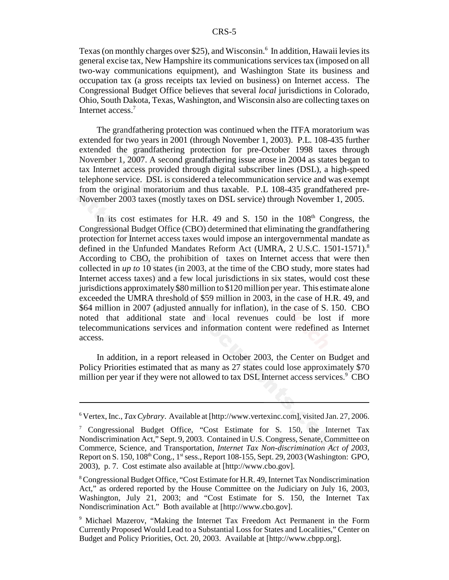Texas (on monthly charges over \$25), and Wisconsin.<sup>6</sup> In addition, Hawaii levies its general excise tax, New Hampshire its communications services tax (imposed on all two-way communications equipment), and Washington State its business and occupation tax (a gross receipts tax levied on business) on Internet access. The Congressional Budget Office believes that several *local* jurisdictions in Colorado, Ohio, South Dakota, Texas, Washington, and Wisconsin also are collecting taxes on Internet access.<sup>7</sup>

The grandfathering protection was continued when the ITFA moratorium was extended for two years in 2001 (through November 1, 2003). P.L. 108-435 further extended the grandfathering protection for pre-October 1998 taxes through November 1, 2007. A second grandfathering issue arose in 2004 as states began to tax Internet access provided through digital subscriber lines (DSL), a high-speed telephone service. DSL is considered a telecommunication service and was exempt from the original moratorium and thus taxable. P.L 108-435 grandfathered pre-November 2003 taxes (mostly taxes on DSL service) through November 1, 2005.

In its cost estimates for H.R. 49 and S. 150 in the  $108<sup>th</sup>$  Congress, the Congressional Budget Office (CBO) determined that eliminating the grandfathering protection for Internet access taxes would impose an intergovernmental mandate as defined in the Unfunded Mandates Reform Act (UMRA, 2 U.S.C. 1501-1571).<sup>8</sup> According to CBO, the prohibition of taxes on Internet access that were then collected in *up to* 10 states (in 2003, at the time of the CBO study, more states had Internet access taxes) and a few local jurisdictions in six states, would cost these jurisdictions approximately \$80 million to \$120 million per year. This estimate alone exceeded the UMRA threshold of \$59 million in 2003, in the case of H.R. 49, and \$64 million in 2007 (adjusted annually for inflation), in the case of S. 150. CBO noted that additional state and local revenues could be lost if more telecommunications services and information content were redefined as Internet access.

In addition, in a report released in October 2003, the Center on Budget and Policy Priorities estimated that as many as 27 states could lose approximately \$70 million per year if they were not allowed to tax DSL Internet access services.<sup>9</sup> CBO

<sup>6</sup> Vertex, Inc., *Tax Cybrary*. Available at [http://www.vertexinc.com], visited Jan. 27, 2006.

<sup>7</sup> Congressional Budget Office, "Cost Estimate for S. 150, the Internet Tax Nondiscrimination Act," Sept. 9, 2003. Contained in U.S. Congress, Senate, Committee on Commerce, Science, and Transportation, *Internet Tax Non-discrimination Act of 2003*, Report on S. 150, 108<sup>th</sup> Cong., 1<sup>st</sup> sess., Report 108-155, Sept. 29, 2003 (Washington: GPO, 2003), p. 7. Cost estimate also available at [http://www.cbo.gov].

<sup>&</sup>lt;sup>8</sup> Congressional Budget Office, "Cost Estimate for H.R. 49, Internet Tax Nondiscrimination Act," as ordered reported by the House Committee on the Judiciary on July 16, 2003, Washington, July 21, 2003; and "Cost Estimate for S. 150, the Internet Tax Nondiscrimination Act." Both available at [http://www.cbo.gov].

<sup>9</sup> Michael Mazerov, "Making the Internet Tax Freedom Act Permanent in the Form Currently Proposed Would Lead to a Substantial Loss for States and Localities," Center on Budget and Policy Priorities, Oct. 20, 2003. Available at [http://www.cbpp.org].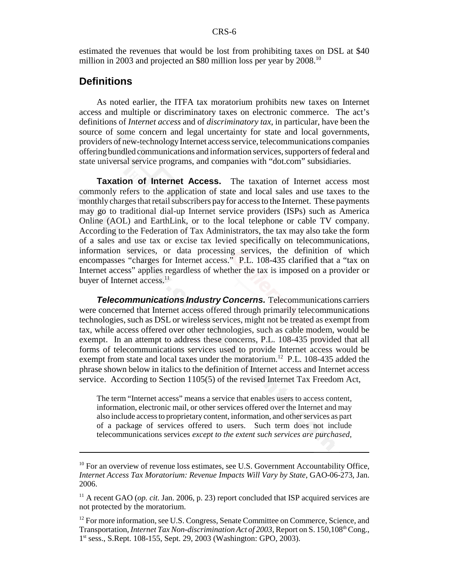estimated the revenues that would be lost from prohibiting taxes on DSL at \$40 million in 2003 and projected an \$80 million loss per year by 2008.<sup>10</sup>

#### **Definitions**

As noted earlier, the ITFA tax moratorium prohibits new taxes on Internet access and multiple or discriminatory taxes on electronic commerce. The act's definitions of *Internet access* and of *discriminatory tax*, in particular, have been the source of some concern and legal uncertainty for state and local governments, providers of new-technology Internet access service, telecommunications companies offering bundled communications and information services, supporters of federal and state universal service programs, and companies with "dot.com" subsidiaries.

**Taxation of Internet Access.** The taxation of Internet access most commonly refers to the application of state and local sales and use taxes to the monthly charges that retail subscribers pay for access to the Internet. These payments may go to traditional dial-up Internet service providers (ISPs) such as America Online (AOL) and EarthLink, or to the local telephone or cable TV company. According to the Federation of Tax Administrators, the tax may also take the form of a sales and use tax or excise tax levied specifically on telecommunications, information services, or data processing services, the definition of which encompasses "charges for Internet access." P.L. 108-435 clarified that a "tax on Internet access" applies regardless of whether the tax is imposed on a provider or buyer of Internet access.<sup>11</sup>

*Telecommunications Industry Concerns.* Telecommunications carriers were concerned that Internet access offered through primarily telecommunications technologies, such as DSL or wireless services, might not be treated as exempt from tax, while access offered over other technologies, such as cable modem, would be exempt. In an attempt to address these concerns, P.L. 108-435 provided that all forms of telecommunications services used to provide Internet access would be exempt from state and local taxes under the moratorium.<sup>12</sup> P.L. 108-435 added the phrase shown below in italics to the definition of Internet access and Internet access service. According to Section 1105(5) of the revised Internet Tax Freedom Act,

The term "Internet access" means a service that enables users to access content, information, electronic mail, or other services offered over the Internet and may also include access to proprietary content, information, and other services as part of a package of services offered to users. Such term does not include telecommunications services *except to the extent such services are purchased,*

 $10$  For an overview of revenue loss estimates, see U.S. Government Accountability Office, *Internet Access Tax Moratorium: Revenue Impacts Will Vary by State*, GAO-06-273, Jan. 2006.

<sup>&</sup>lt;sup>11</sup> A recent GAO (*op. cit.* Jan. 2006, p. 23) report concluded that ISP acquired services are not protected by the moratorium.

<sup>&</sup>lt;sup>12</sup> For more information, see U.S. Congress, Senate Committee on Commerce, Science, and Transportation, *Internet Tax Non-discrimination Act of 2003*, Report on S. 150,108<sup>th</sup> Cong., 1st sess., S.Rept. 108-155, Sept. 29, 2003 (Washington: GPO, 2003).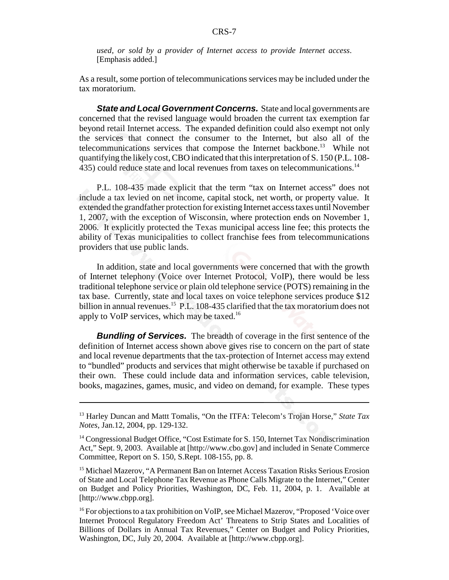*used, or sold by a provider of Internet access to provide Internet access*. [Emphasis added.]

As a result, some portion of telecommunications services may be included under the tax moratorium.

**State and Local Government Concerns.** State and local governments are concerned that the revised language would broaden the current tax exemption far beyond retail Internet access. The expanded definition could also exempt not only the services that connect the consumer to the Internet, but also all of the telecommunications services that compose the Internet backbone.<sup>13</sup> While not quantifying the likely cost, CBO indicated that this interpretation of S. 150 (P.L. 108- 435) could reduce state and local revenues from taxes on telecommunications.14

P.L. 108-435 made explicit that the term "tax on Internet access" does not include a tax levied on net income, capital stock, net worth, or property value. It extended the grandfather protection for existing Internet access taxes until November 1, 2007, with the exception of Wisconsin, where protection ends on November 1, 2006. It explicitly protected the Texas municipal access line fee; this protects the ability of Texas municipalities to collect franchise fees from telecommunications providers that use public lands.

In addition, state and local governments were concerned that with the growth of Internet telephony (Voice over Internet Protocol, VoIP), there would be less traditional telephone service or plain old telephone service (POTS) remaining in the tax base. Currently, state and local taxes on voice telephone services produce \$12 billion in annual revenues.<sup>15</sup> P.L. 108-435 clarified that the tax moratorium does not apply to VoIP services, which may be taxed.16

*Bundling of Services.* The breadth of coverage in the first sentence of the definition of Internet access shown above gives rise to concern on the part of state and local revenue departments that the tax-protection of Internet access may extend to "bundled" products and services that might otherwise be taxable if purchased on their own. These could include data and information services, cable television, books, magazines, games, music, and video on demand, for example. These types

<sup>13</sup> Harley Duncan and Mattt Tomalis, "On the ITFA: Telecom's Trojan Horse," *State Tax Notes*, Jan.12, 2004, pp. 129-132.

<sup>&</sup>lt;sup>14</sup> Congressional Budget Office, "Cost Estimate for S. 150, Internet Tax Nondiscrimination Act," Sept. 9, 2003. Available at [http://www.cbo.gov] and included in Senate Commerce Committee, Report on S. 150, S.Rept. 108-155, pp. 8.

<sup>&</sup>lt;sup>15</sup> Michael Mazerov, "A Permanent Ban on Internet Access Taxation Risks Serious Erosion of State and Local Telephone Tax Revenue as Phone Calls Migrate to the Internet," Center on Budget and Policy Priorities, Washington, DC, Feb. 11, 2004, p. 1. Available at [http://www.cbpp.org].

<sup>&</sup>lt;sup>16</sup> For objections to a tax prohibition on VoIP, see Michael Mazerov, "Proposed 'Voice over Internet Protocol Regulatory Freedom Act' Threatens to Strip States and Localities of Billions of Dollars in Annual Tax Revenues," Center on Budget and Policy Priorities, Washington, DC, July 20, 2004. Available at [http://www.cbpp.org].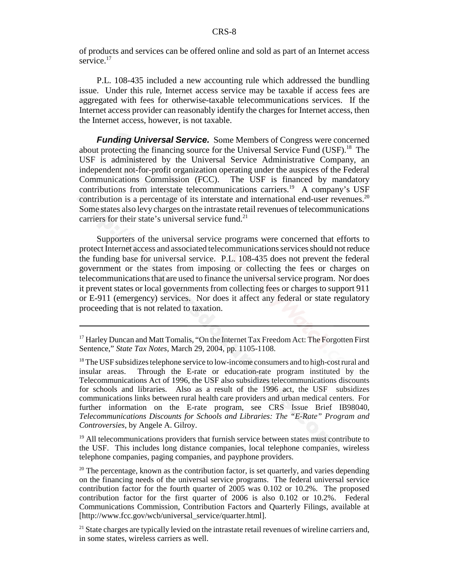of products and services can be offered online and sold as part of an Internet access service.<sup>17</sup>

P.L. 108-435 included a new accounting rule which addressed the bundling issue. Under this rule, Internet access service may be taxable if access fees are aggregated with fees for otherwise-taxable telecommunications services. If the Internet access provider can reasonably identify the charges for Internet access, then the Internet access, however, is not taxable.

*Funding Universal Service.* Some Members of Congress were concerned about protecting the financing source for the Universal Service Fund (USF).<sup>18</sup> The USF is administered by the Universal Service Administrative Company, an independent not-for-profit organization operating under the auspices of the Federal Communications Commission (FCC). The USF is financed by mandatory contributions from interstate telecommunications carriers.<sup>19</sup> A company's USF contribution is a percentage of its interstate and international end-user revenues.<sup>20</sup> Some states also levy charges on the intrastate retail revenues of telecommunications carriers for their state's universal service fund.<sup>21</sup>

Supporters of the universal service programs were concerned that efforts to protect Internet access and associated telecommunications services should not reduce the funding base for universal service. P.L. 108-435 does not prevent the federal government or the states from imposing or collecting the fees or charges on telecommunications that are used to finance the universal service program. Nor does it prevent states or local governments from collecting fees or charges to support 911 or E-911 (emergency) services. Nor does it affect any federal or state regulatory proceeding that is not related to taxation.

<sup>19</sup> All telecommunications providers that furnish service between states must contribute to the USF. This includes long distance companies, local telephone companies, wireless telephone companies, paging companies, and payphone providers.

 $20$  The percentage, known as the contribution factor, is set quarterly, and varies depending on the financing needs of the universal service programs. The federal universal service contribution factor for the fourth quarter of 2005 was 0.102 or 10.2%. The proposed contribution factor for the first quarter of 2006 is also 0.102 or 10.2%. Federal Communications Commission, Contribution Factors and Quarterly Filings, available at [http://www.fcc.gov/wcb/universal\_service/quarter.html].

 $21$  State charges are typically levied on the intrastate retail revenues of wireline carriers and, in some states, wireless carriers as well.

<sup>&</sup>lt;sup>17</sup> Harley Duncan and Matt Tomalis, "On the Internet Tax Freedom Act: The Forgotten First Sentence," *State Tax Notes*, March 29, 2004, pp. 1105-1108.

<sup>&</sup>lt;sup>18</sup> The USF subsidizes telephone service to low-income consumers and to high-cost rural and insular areas. Through the E-rate or education-rate program instituted by the Telecommunications Act of 1996, the USF also subsidizes telecommunications discounts for schools and libraries. Also as a result of the 1996 act, the USF subsidizes communications links between rural health care providers and urban medical centers. For further information on the E-rate program, see CRS Issue Brief IB98040, *Telecommunications Discounts for Schools and Libraries: The "E-Rate" Program and Controversies*, by Angele A. Gilroy.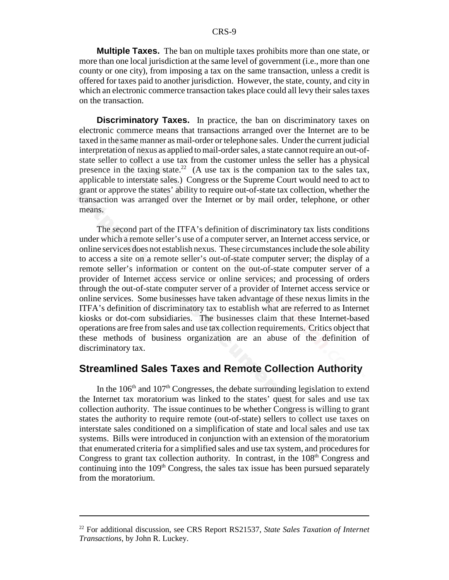**Multiple Taxes.** The ban on multiple taxes prohibits more than one state, or more than one local jurisdiction at the same level of government (i.e., more than one county or one city), from imposing a tax on the same transaction, unless a credit is offered for taxes paid to another jurisdiction. However, the state, county, and city in which an electronic commerce transaction takes place could all levy their sales taxes on the transaction.

**Discriminatory Taxes.** In practice, the ban on discriminatory taxes on electronic commerce means that transactions arranged over the Internet are to be taxed in the same manner as mail-order or telephone sales. Under the current judicial interpretation of nexus as applied to mail-order sales, a state cannot require an out-ofstate seller to collect a use tax from the customer unless the seller has a physical presence in the taxing state.<sup>22</sup> (A use tax is the companion tax to the sales tax, applicable to interstate sales.) Congress or the Supreme Court would need to act to grant or approve the states' ability to require out-of-state tax collection, whether the transaction was arranged over the Internet or by mail order, telephone, or other means.

The second part of the ITFA's definition of discriminatory tax lists conditions under which a remote seller's use of a computer server, an Internet access service, or online services does not establish nexus. These circumstances include the sole ability to access a site on a remote seller's out-of-state computer server; the display of a remote seller's information or content on the out-of-state computer server of a provider of Internet access service or online services; and processing of orders through the out-of-state computer server of a provider of Internet access service or online services. Some businesses have taken advantage of these nexus limits in the ITFA's definition of discriminatory tax to establish what are referred to as Internet kiosks or dot-com subsidiaries. The businesses claim that these Internet-based operations are free from sales and use tax collection requirements. Critics object that these methods of business organization are an abuse of the definition of discriminatory tax.

#### **Streamlined Sales Taxes and Remote Collection Authority**

In the  $106<sup>th</sup>$  and  $107<sup>th</sup>$  Congresses, the debate surrounding legislation to extend the Internet tax moratorium was linked to the states' quest for sales and use tax collection authority. The issue continues to be whether Congress is willing to grant states the authority to require remote (out-of-state) sellers to collect use taxes on interstate sales conditioned on a simplification of state and local sales and use tax systems. Bills were introduced in conjunction with an extension of the moratorium that enumerated criteria for a simplified sales and use tax system, and procedures for Congress to grant tax collection authority. In contrast, in the  $108<sup>th</sup>$  Congress and continuing into the  $109<sup>th</sup>$  Congress, the sales tax issue has been pursued separately from the moratorium.

<sup>22</sup> For additional discussion, see CRS Report RS21537, *State Sales Taxation of Internet Transactions*, by John R. Luckey.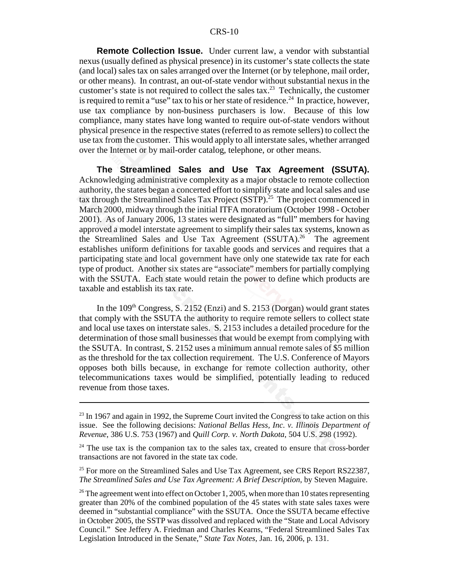#### CRS-10

**Remote Collection Issue.** Under current law, a vendor with substantial nexus (usually defined as physical presence) in its customer's state collects the state (and local) sales tax on sales arranged over the Internet (or by telephone, mail order, or other means). In contrast, an out-of-state vendor without substantial nexus in the customer's state is not required to collect the sales tax.<sup>23</sup> Technically, the customer is required to remit a "use" tax to his or her state of residence.<sup>24</sup> In practice, however, use tax compliance by non-business purchasers is low. Because of this low compliance, many states have long wanted to require out-of-state vendors without physical presence in the respective states (referred to as remote sellers) to collect the use tax from the customer. This would apply to all interstate sales, whether arranged over the Internet or by mail-order catalog, telephone, or other means.

**The Streamlined Sales and Use Tax Agreement (SSUTA).** Acknowledging administrative complexity as a major obstacle to remote collection authority, the states began a concerted effort to simplify state and local sales and use tax through the Streamlined Sales Tax Project  $(SSTP)^{25}$  The project commenced in March 2000, midway through the initial ITFA moratorium (October 1998 - October 2001). As of January 2006, 13 states were designated as "full" members for having approved a model interstate agreement to simplify their sales tax systems, known as the Streamlined Sales and Use Tax Agreement (SSUTA).<sup>26</sup> The agreement establishes uniform definitions for taxable goods and services and requires that a participating state and local government have only one statewide tax rate for each type of product. Another six states are "associate" members for partially complying with the SSUTA. Each state would retain the power to define which products are taxable and establish its tax rate.

In the  $109<sup>th</sup> Congress, S. 2152 (Enzi) and S. 2153 (Dorgan) would grant states$ that comply with the SSUTA the authority to require remote sellers to collect state and local use taxes on interstate sales. S. 2153 includes a detailed procedure for the determination of those small businesses that would be exempt from complying with the SSUTA. In contrast, S. 2152 uses a minimum annual remote sales of \$5 million as the threshold for the tax collection requirement. The U.S. Conference of Mayors opposes both bills because, in exchange for remote collection authority, other telecommunications taxes would be simplified, potentially leading to reduced revenue from those taxes.

 $^{23}$  In 1967 and again in 1992, the Supreme Court invited the Congress to take action on this issue. See the following decisions: *National Bellas Hess, Inc. v. Illinois Department of Revenue*, 386 U.S. 753 (1967) and *Quill Corp. v. North Dakota*, 504 U.S. 298 (1992).

 $24$  The use tax is the companion tax to the sales tax, created to ensure that cross-border transactions are not favored in the state tax code.

<sup>&</sup>lt;sup>25</sup> For more on the Streamlined Sales and Use Tax Agreement, see CRS Report RS22387, *The Streamlined Sales and Use Tax Agreement: A Brief Description*, by Steven Maguire.

<sup>&</sup>lt;sup>26</sup> The agreement went into effect on October 1, 2005, when more than 10 states representing greater than 20% of the combined population of the 45 states with state sales taxes were deemed in "substantial compliance" with the SSUTA. Once the SSUTA became effective in October 2005, the SSTP was dissolved and replaced with the "State and Local Advisory Council." See Jeffery A. Friedman and Charles Kearns, "Federal Streamlined Sales Tax Legislation Introduced in the Senate," *State Tax Notes*, Jan. 16, 2006, p. 131.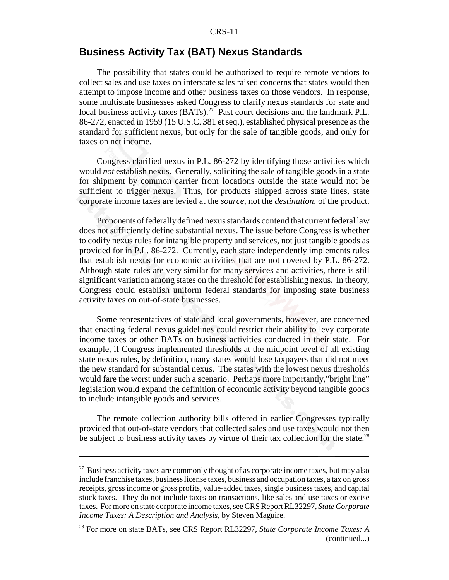#### CRS-11

#### **Business Activity Tax (BAT) Nexus Standards**

The possibility that states could be authorized to require remote vendors to collect sales and use taxes on interstate sales raised concerns that states would then attempt to impose income and other business taxes on those vendors. In response, some multistate businesses asked Congress to clarify nexus standards for state and local business activity taxes (BATs).<sup>27</sup> Past court decisions and the landmark P.L. 86-272, enacted in 1959 (15 U.S.C. 381 et seq.), established physical presence as the standard for sufficient nexus, but only for the sale of tangible goods, and only for taxes on net income.

Congress clarified nexus in P.L. 86-272 by identifying those activities which would *not* establish nexus. Generally, soliciting the sale of tangible goods in a state for shipment by common carrier from locations outside the state would not be sufficient to trigger nexus. Thus, for products shipped across state lines, state corporate income taxes are levied at the *source*, not the *destination*, of the product.

Proponents of federally defined nexus standards contend that current federal law does not sufficiently define substantial nexus. The issue before Congress is whether to codify nexus rules for intangible property and services, not just tangible goods as provided for in P.L. 86-272. Currently, each state independently implements rules that establish nexus for economic activities that are not covered by P.L. 86-272. Although state rules are very similar for many services and activities, there is still significant variation among states on the threshold for establishing nexus. In theory, Congress could establish uniform federal standards for imposing state business activity taxes on out-of-state businesses.

Some representatives of state and local governments, however, are concerned that enacting federal nexus guidelines could restrict their ability to levy corporate income taxes or other BATs on business activities conducted in their state. For example, if Congress implemented thresholds at the midpoint level of all existing state nexus rules, by definition, many states would lose taxpayers that did not meet the new standard for substantial nexus. The states with the lowest nexus thresholds would fare the worst under such a scenario. Perhaps more importantly,"bright line" legislation would expand the definition of economic activity beyond tangible goods to include intangible goods and services.

The remote collection authority bills offered in earlier Congresses typically provided that out-of-state vendors that collected sales and use taxes would not then be subject to business activity taxes by virtue of their tax collection for the state.<sup>28</sup>

 $27$  Business activity taxes are commonly thought of as corporate income taxes, but may also include franchise taxes, business license taxes, business and occupation taxes, a tax on gross receipts, gross income or gross profits, value-added taxes, single business taxes, and capital stock taxes. They do not include taxes on transactions, like sales and use taxes or excise taxes. For more on state corporate income taxes, see CRS Report RL32297, *State Corporate Income Taxes: A Description and Analysis*, by Steven Maguire.

<sup>28</sup> For more on state BATs, see CRS Report RL32297, *State Corporate Income Taxes: A* (continued...)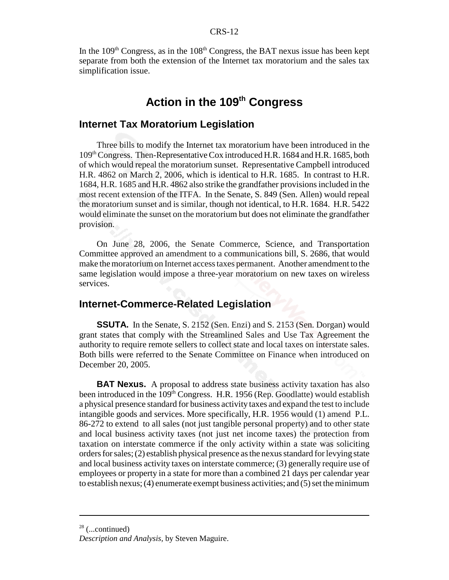In the  $109<sup>th</sup>$  Congress, as in the  $108<sup>th</sup>$  Congress, the BAT nexus issue has been kept separate from both the extension of the Internet tax moratorium and the sales tax simplification issue.

## Action in the 109<sup>th</sup> Congress

#### **Internet Tax Moratorium Legislation**

Three bills to modify the Internet tax moratorium have been introduced in the 109th Congress. Then-Representative Cox introduced H.R. 1684 and H.R. 1685, both of which would repeal the moratorium sunset. Representative Campbell introduced H.R. 4862 on March 2, 2006, which is identical to H.R. 1685. In contrast to H.R. 1684, H.R. 1685 and H.R. 4862 also strike the grandfather provisions included in the most recent extension of the ITFA. In the Senate, S. 849 (Sen. Allen) would repeal the moratorium sunset and is similar, though not identical, to H.R. 1684. H.R. 5422 would eliminate the sunset on the moratorium but does not eliminate the grandfather provision.

On June 28, 2006, the Senate Commerce, Science, and Transportation Committee approved an amendment to a communications bill, S. 2686, that would make the moratorium on Internet access taxes permanent. Another amendment to the same legislation would impose a three-year moratorium on new taxes on wireless services.

#### **Internet-Commerce-Related Legislation**

**SSUTA.** In the Senate, S. 2152 (Sen. Enzi) and S. 2153 (Sen. Dorgan) would grant states that comply with the Streamlined Sales and Use Tax Agreement the authority to require remote sellers to collect state and local taxes on interstate sales. Both bills were referred to the Senate Committee on Finance when introduced on December 20, 2005.

**BAT Nexus.** A proposal to address state business activity taxation has also been introduced in the 109<sup>th</sup> Congress. H.R. 1956 (Rep. Goodlatte) would establish a physical presence standard for business activity taxes and expand the test to include intangible goods and services. More specifically, H.R. 1956 would (1) amend P.L. 86-272 to extend to all sales (not just tangible personal property) and to other state and local business activity taxes (not just net income taxes) the protection from taxation on interstate commerce if the only activity within a state was soliciting orders for sales; (2) establish physical presence as the nexus standard for levying state and local business activity taxes on interstate commerce; (3) generally require use of employees or property in a state for more than a combined 21 days per calendar year to establish nexus; (4) enumerate exempt business activities; and (5) set the minimum

 $28$  (...continued)

*Description and Analysis,* by Steven Maguire.